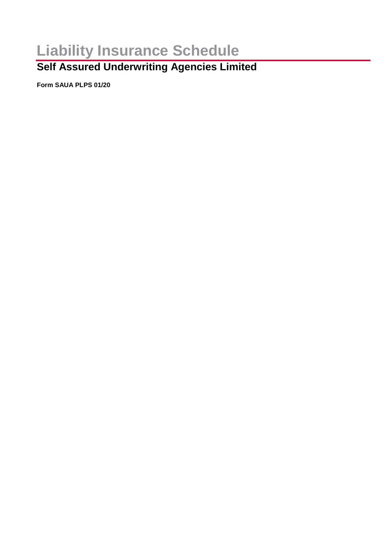# **Liability Insurance Schedule**

## **Self Assured Underwriting Agencies Limited**

**Form SAUA PLPS 01/20**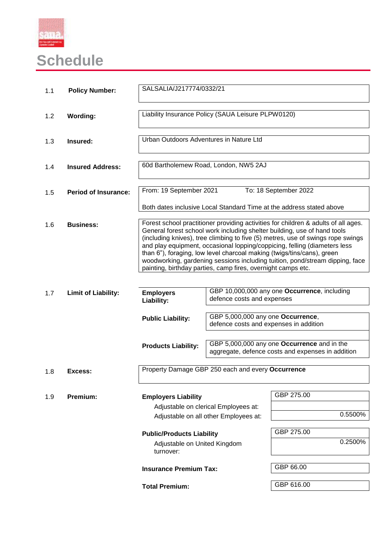

# **Schedule**

| 1.1 | <b>Policy Number:</b>       | SALSALIA/J217774/0332/21                                                                                                                                                                                                                                                                                                                                                                                                                                                                                                                                 |                                                                             |                                                                                                  |  |
|-----|-----------------------------|----------------------------------------------------------------------------------------------------------------------------------------------------------------------------------------------------------------------------------------------------------------------------------------------------------------------------------------------------------------------------------------------------------------------------------------------------------------------------------------------------------------------------------------------------------|-----------------------------------------------------------------------------|--------------------------------------------------------------------------------------------------|--|
| 1.2 | <b>Wording:</b>             | Liability Insurance Policy (SAUA Leisure PLPW0120)                                                                                                                                                                                                                                                                                                                                                                                                                                                                                                       |                                                                             |                                                                                                  |  |
| 1.3 | Insured:                    | Urban Outdoors Adventures in Nature Ltd                                                                                                                                                                                                                                                                                                                                                                                                                                                                                                                  |                                                                             |                                                                                                  |  |
| 1.4 | <b>Insured Address:</b>     | 60d Bartholemew Road, London, NW5 2AJ                                                                                                                                                                                                                                                                                                                                                                                                                                                                                                                    |                                                                             |                                                                                                  |  |
| 1.5 | <b>Period of Insurance:</b> | From: 19 September 2021<br>To: 18 September 2022                                                                                                                                                                                                                                                                                                                                                                                                                                                                                                         |                                                                             |                                                                                                  |  |
|     |                             | Both dates inclusive Local Standard Time at the address stated above                                                                                                                                                                                                                                                                                                                                                                                                                                                                                     |                                                                             |                                                                                                  |  |
| 1.6 | <b>Business:</b>            | Forest school practitioner providing activities for children & adults of all ages.<br>General forest school work including shelter building, use of hand tools<br>(including knives), tree climbing to five (5) metres, use of swings rope swings<br>and play equipment, occasional lopping/coppicing, felling (diameters less<br>than 6"), foraging, low level charcoal making (twigs/tins/cans), green<br>woodworking, gardening sessions including tuition, pond/stream dipping, face<br>painting, birthday parties, camp fires, overnight camps etc. |                                                                             |                                                                                                  |  |
|     |                             |                                                                                                                                                                                                                                                                                                                                                                                                                                                                                                                                                          |                                                                             |                                                                                                  |  |
| 1.7 | <b>Limit of Liability:</b>  | <b>Employers</b><br>Liability:                                                                                                                                                                                                                                                                                                                                                                                                                                                                                                                           | defence costs and expenses                                                  | GBP 10,000,000 any one Occurrence, including                                                     |  |
|     |                             | <b>Public Liability:</b>                                                                                                                                                                                                                                                                                                                                                                                                                                                                                                                                 | GBP 5,000,000 any one Occurrence,<br>defence costs and expenses in addition |                                                                                                  |  |
|     |                             | <b>Products Liability:</b>                                                                                                                                                                                                                                                                                                                                                                                                                                                                                                                               |                                                                             | GBP 5,000,000 any one Occurrence and in the<br>aggregate, defence costs and expenses in addition |  |
| 1.8 | <b>Excess:</b>              | Property Damage GBP 250 each and every Occurrence                                                                                                                                                                                                                                                                                                                                                                                                                                                                                                        |                                                                             |                                                                                                  |  |
|     |                             |                                                                                                                                                                                                                                                                                                                                                                                                                                                                                                                                                          |                                                                             |                                                                                                  |  |
| 1.9 | Premium:                    | <b>Employers Liability</b><br>Adjustable on clerical Employees at:<br>Adjustable on all other Employees at:                                                                                                                                                                                                                                                                                                                                                                                                                                              |                                                                             | GBP 275.00                                                                                       |  |
|     |                             |                                                                                                                                                                                                                                                                                                                                                                                                                                                                                                                                                          |                                                                             | 0.5500%                                                                                          |  |
|     |                             |                                                                                                                                                                                                                                                                                                                                                                                                                                                                                                                                                          |                                                                             |                                                                                                  |  |
|     |                             | <b>Public/Products Liability</b><br>Adjustable on United Kingdom<br>turnover:                                                                                                                                                                                                                                                                                                                                                                                                                                                                            |                                                                             | GBP 275.00                                                                                       |  |
|     |                             |                                                                                                                                                                                                                                                                                                                                                                                                                                                                                                                                                          |                                                                             | 0.2500%                                                                                          |  |
|     |                             | <b>Insurance Premium Tax:</b>                                                                                                                                                                                                                                                                                                                                                                                                                                                                                                                            |                                                                             | GBP 66.00                                                                                        |  |
|     |                             | <b>Total Premium:</b>                                                                                                                                                                                                                                                                                                                                                                                                                                                                                                                                    |                                                                             | GBP 616.00                                                                                       |  |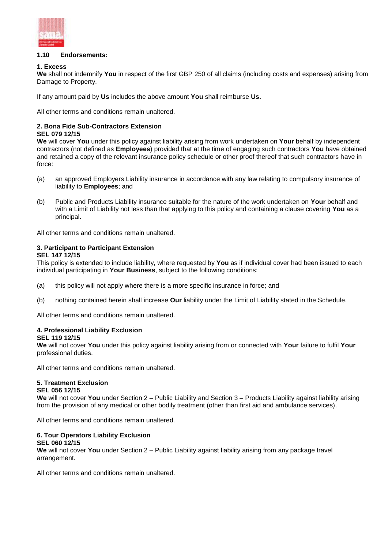

#### **1.10 Endorsements:**

#### **1. Excess**

**We** shall not indemnify **You** in respect of the first GBP 250 of all claims (including costs and expenses) arising from Damage to Property.

If any amount paid by **Us** includes the above amount **You** shall reimburse **Us.**

All other terms and conditions remain unaltered.

#### **2. Bona Fide Sub-Contractors Extension**

#### **SEL 079 12/15**

**We** will cover **You** under this policy against liability arising from work undertaken on **Your** behalf by independent contractors (not defined as **Employees**) provided that at the time of engaging such contractors **You** have obtained and retained a copy of the relevant insurance policy schedule or other proof thereof that such contractors have in force:

- (a) an approved Employers Liability insurance in accordance with any law relating to compulsory insurance of liability to **Employees**; and
- (b) Public and Products Liability insurance suitable for the nature of the work undertaken on **Your** behalf and with a Limit of Liability not less than that applying to this policy and containing a clause covering **You** as a principal.

All other terms and conditions remain unaltered.

### **3. Participant to Participant Extension**

#### **SEL 147 12/15**

This policy is extended to include liability, where requested by **You** as if individual cover had been issued to each individual participating in **Your Business**, subject to the following conditions:

- (a) this policy will not apply where there is a more specific insurance in force; and
- (b) nothing contained herein shall increase **Our** liability under the Limit of Liability stated in the Schedule.

All other terms and conditions remain unaltered.

### **4. Professional Liability Exclusion**

#### **SEL 119 12/15**

**We** will not cover **You** under this policy against liability arising from or connected with **Your** failure to fulfil **Your**  professional duties.

All other terms and conditions remain unaltered.

#### **5. Treatment Exclusion**

#### **SEL 056 12/15**

**We** will not cover **You** under Section 2 – Public Liability and Section 3 – Products Liability against liability arising from the provision of any medical or other bodily treatment (other than first aid and ambulance services).

All other terms and conditions remain unaltered.

#### **6. Tour Operators Liability Exclusion**

#### **SEL 060 12/15**

**We** will not cover **You** under Section 2 – Public Liability against liability arising from any package travel arrangement.

All other terms and conditions remain unaltered.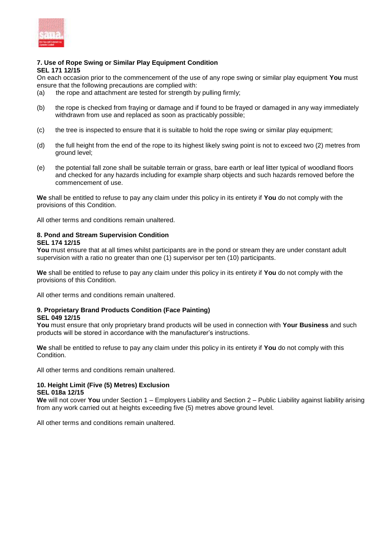

#### **7. Use of Rope Swing or Similar Play Equipment Condition SEL 171 12/15**

On each occasion prior to the commencement of the use of any rope swing or similar play equipment **You** must ensure that the following precautions are complied with:

- (a) the rope and attachment are tested for strength by pulling firmly;
- (b) the rope is checked from fraying or damage and if found to be frayed or damaged in any way immediately withdrawn from use and replaced as soon as practicably possible;
- (c) the tree is inspected to ensure that it is suitable to hold the rope swing or similar play equipment;
- (d) the full height from the end of the rope to its highest likely swing point is not to exceed two (2) metres from ground level;
- (e) the potential fall zone shall be suitable terrain or grass, bare earth or leaf litter typical of woodland floors and checked for any hazards including for example sharp objects and such hazards removed before the commencement of use.

**We** shall be entitled to refuse to pay any claim under this policy in its entirety if **You** do not comply with the provisions of this Condition.

All other terms and conditions remain unaltered.

#### **8. Pond and Stream Supervision Condition SEL 174 12/15**

**You** must ensure that at all times whilst participants are in the pond or stream they are under constant adult supervision with a ratio no greater than one (1) supervisor per ten (10) participants.

**We** shall be entitled to refuse to pay any claim under this policy in its entirety if **You** do not comply with the provisions of this Condition.

All other terms and conditions remain unaltered.

#### **9. Proprietary Brand Products Condition (Face Painting) SEL 049 12/15**

**You** must ensure that only proprietary brand products will be used in connection with **Your Business** and such products will be stored in accordance with the manufacturer's instructions.

**We** shall be entitled to refuse to pay any claim under this policy in its entirety if **You** do not comply with this Condition.

All other terms and conditions remain unaltered.

#### **10. Height Limit (Five (5) Metres) Exclusion SEL 018a 12/15**

**We** will not cover **You** under Section 1 – Employers Liability and Section 2 – Public Liability against liability arising from any work carried out at heights exceeding five (5) metres above ground level.

All other terms and conditions remain unaltered.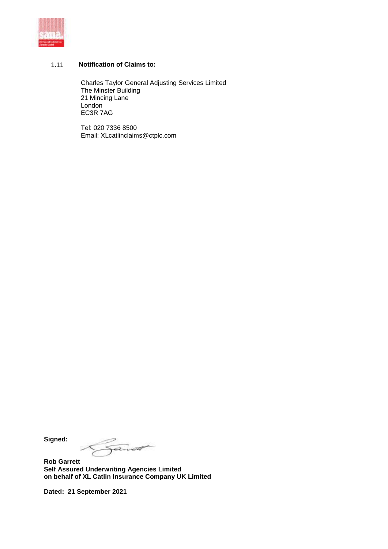

#### 1.11 **Notification of Claims to:**

Charles Taylor General Adjusting Services Limited The Minster Building 21 Mincing Lane London EC3R 7AG

Tel: 020 7336 8500 Email: XLcatlinclaims@ctplc.com

**Signed:**

anod

**Rob Garrett Self Assured Underwriting Agencies Limited on behalf of XL Catlin Insurance Company UK Limited**

**Dated: 21 September 2021**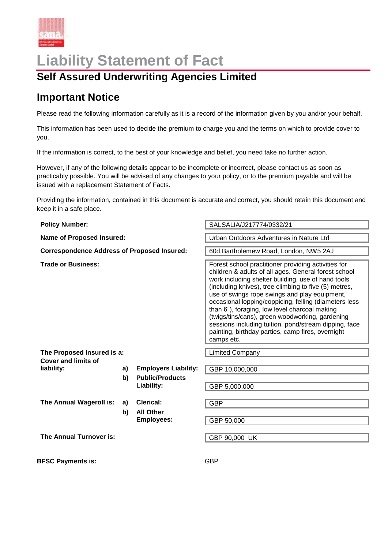

## **Liability Statement of Fact**

### **Self Assured Underwriting Agencies Limited**

### **Important Notice**

Please read the following information carefully as it is a record of the information given by you and/or your behalf.

This information has been used to decide the premium to charge you and the terms on which to provide cover to you.

If the information is correct, to the best of your knowledge and belief, you need take no further action.

However, if any of the following details appear to be incomplete or incorrect, please contact us as soon as practicably possible. You will be advised of any changes to your policy, or to the premium payable and will be issued with a replacement Statement of Facts.

Providing the information, contained in this document is accurate and correct, you should retain this document and keep it in a safe place.

| <b>Policy Number:</b>                                    |    |                                       | SALSALIA/J217774/0332/21                                                                                                                                                                                                                                                                                                                                                                                                                                                                                                                                             |  |
|----------------------------------------------------------|----|---------------------------------------|----------------------------------------------------------------------------------------------------------------------------------------------------------------------------------------------------------------------------------------------------------------------------------------------------------------------------------------------------------------------------------------------------------------------------------------------------------------------------------------------------------------------------------------------------------------------|--|
| <b>Name of Proposed Insured:</b>                         |    |                                       | Urban Outdoors Adventures in Nature Ltd                                                                                                                                                                                                                                                                                                                                                                                                                                                                                                                              |  |
| <b>Correspondence Address of Proposed Insured:</b>       |    |                                       | 60d Bartholemew Road, London, NW5 2AJ                                                                                                                                                                                                                                                                                                                                                                                                                                                                                                                                |  |
| <b>Trade or Business:</b>                                |    |                                       | Forest school practitioner providing activities for<br>children & adults of all ages. General forest school<br>work including shelter building, use of hand tools<br>(including knives), tree climbing to five (5) metres,<br>use of swings rope swings and play equipment,<br>occasional lopping/coppicing, felling (diameters less<br>than 6"), foraging, low level charcoal making<br>(twigs/tins/cans), green woodworking, gardening<br>sessions including tuition, pond/stream dipping, face<br>painting, birthday parties, camp fires, overnight<br>camps etc. |  |
| The Proposed Insured is a:<br><b>Cover and limits of</b> |    |                                       | <b>Limited Company</b>                                                                                                                                                                                                                                                                                                                                                                                                                                                                                                                                               |  |
| liability:                                               | a) | <b>Employers Liability:</b>           | GBP 10,000,000                                                                                                                                                                                                                                                                                                                                                                                                                                                                                                                                                       |  |
|                                                          | b) | <b>Public/Products</b><br>Liability:  | GBP 5,000,000                                                                                                                                                                                                                                                                                                                                                                                                                                                                                                                                                        |  |
| The Annual Wageroll is:                                  | a) | Clerical:                             | <b>GBP</b>                                                                                                                                                                                                                                                                                                                                                                                                                                                                                                                                                           |  |
|                                                          | b) | <b>All Other</b><br><b>Employees:</b> | GBP 50,000                                                                                                                                                                                                                                                                                                                                                                                                                                                                                                                                                           |  |
| The Annual Turnover is:                                  |    |                                       | GBP 90,000 UK                                                                                                                                                                                                                                                                                                                                                                                                                                                                                                                                                        |  |
| <b>BFSC Payments is:</b>                                 |    |                                       | <b>GBP</b>                                                                                                                                                                                                                                                                                                                                                                                                                                                                                                                                                           |  |